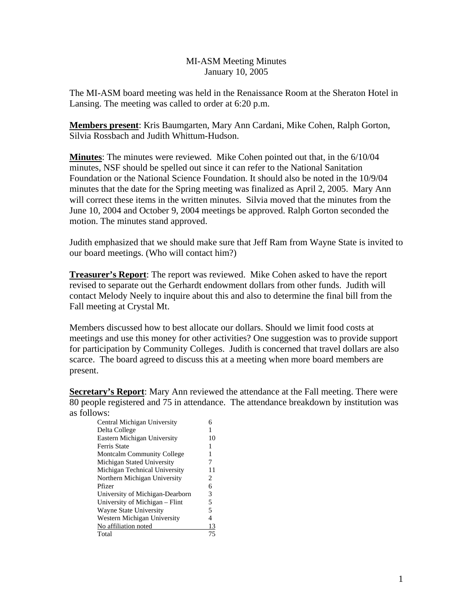## MI-ASM Meeting Minutes January 10, 2005

The MI-ASM board meeting was held in the Renaissance Room at the Sheraton Hotel in Lansing. The meeting was called to order at 6:20 p.m.

**Members present**: Kris Baumgarten, Mary Ann Cardani, Mike Cohen, Ralph Gorton, Silvia Rossbach and Judith Whittum-Hudson.

**Minutes**: The minutes were reviewed. Mike Cohen pointed out that, in the 6/10/04 minutes, NSF should be spelled out since it can refer to the National Sanitation Foundation or the National Science Foundation. It should also be noted in the 10/9/04 minutes that the date for the Spring meeting was finalized as April 2, 2005. Mary Ann will correct these items in the written minutes. Silvia moved that the minutes from the June 10, 2004 and October 9, 2004 meetings be approved. Ralph Gorton seconded the motion. The minutes stand approved.

Judith emphasized that we should make sure that Jeff Ram from Wayne State is invited to our board meetings. (Who will contact him?)

**Treasurer's Report**: The report was reviewed. Mike Cohen asked to have the report revised to separate out the Gerhardt endowment dollars from other funds. Judith will contact Melody Neely to inquire about this and also to determine the final bill from the Fall meeting at Crystal Mt.

Members discussed how to best allocate our dollars. Should we limit food costs at meetings and use this money for other activities? One suggestion was to provide support for participation by Community Colleges. Judith is concerned that travel dollars are also scarce. The board agreed to discuss this at a meeting when more board members are present.

**Secretary's Report:** Mary Ann reviewed the attendance at the Fall meeting. There were 80 people registered and 75 in attendance. The attendance breakdown by institution was as follows:

| Central Michigan University       |    |
|-----------------------------------|----|
| Delta College                     |    |
| Eastern Michigan University       | 10 |
| Ferris State                      |    |
| <b>Montcalm Community College</b> |    |
| Michigan Stated University        | 7  |
| Michigan Technical University     | 11 |
| Northern Michigan University      | 2  |
| Pfizer                            | 6  |
| University of Michigan-Dearborn   | 3  |
| University of Michigan - Flint    | 5  |
| <b>Wayne State University</b>     | 5  |
| Western Michigan University       | 4  |
| No affiliation noted              | 13 |
| Total                             |    |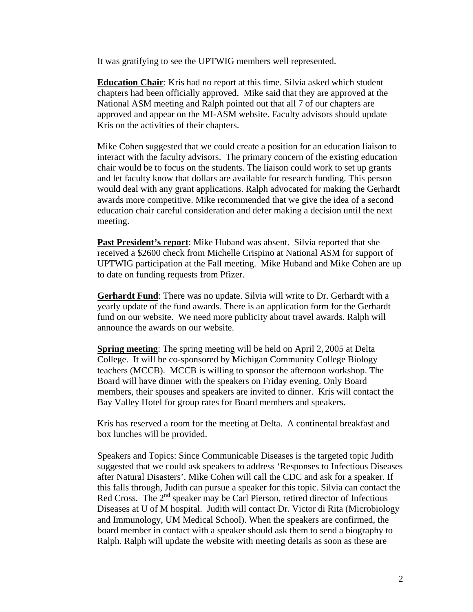It was gratifying to see the UPTWIG members well represented.

**Education Chair**: Kris had no report at this time. Silvia asked which student chapters had been officially approved. Mike said that they are approved at the National ASM meeting and Ralph pointed out that all 7 of our chapters are approved and appear on the MI-ASM website. Faculty advisors should update Kris on the activities of their chapters.

Mike Cohen suggested that we could create a position for an education liaison to interact with the faculty advisors. The primary concern of the existing education chair would be to focus on the students. The liaison could work to set up grants and let faculty know that dollars are available for research funding. This person would deal with any grant applications. Ralph advocated for making the Gerhardt awards more competitive. Mike recommended that we give the idea of a second education chair careful consideration and defer making a decision until the next meeting.

**Past President's report**: Mike Huband was absent. Silvia reported that she received a \$2600 check from Michelle Crispino at National ASM for support of UPTWIG participation at the Fall meeting. Mike Huband and Mike Cohen are up to date on funding requests from Pfizer.

**Gerhardt Fund**: There was no update. Silvia will write to Dr. Gerhardt with a yearly update of the fund awards. There is an application form for the Gerhardt fund on our website. We need more publicity about travel awards. Ralph will announce the awards on our website.

**Spring meeting**: The spring meeting will be held on April 2, 2005 at Delta College. It will be co-sponsored by Michigan Community College Biology teachers (MCCB). MCCB is willing to sponsor the afternoon workshop. The Board will have dinner with the speakers on Friday evening. Only Board members, their spouses and speakers are invited to dinner. Kris will contact the Bay Valley Hotel for group rates for Board members and speakers.

Kris has reserved a room for the meeting at Delta. A continental breakfast and box lunches will be provided.

Speakers and Topics: Since Communicable Diseases is the targeted topic Judith suggested that we could ask speakers to address 'Responses to Infectious Diseases after Natural Disasters'. Mike Cohen will call the CDC and ask for a speaker. If this falls through, Judith can pursue a speaker for this topic. Silvia can contact the Red Cross. The  $2<sup>nd</sup>$  speaker may be Carl Pierson, retired director of Infectious Diseases at U of M hospital. Judith will contact Dr. Victor di Rita (Microbiology and Immunology, UM Medical School). When the speakers are confirmed, the board member in contact with a speaker should ask them to send a biography to Ralph. Ralph will update the website with meeting details as soon as these are